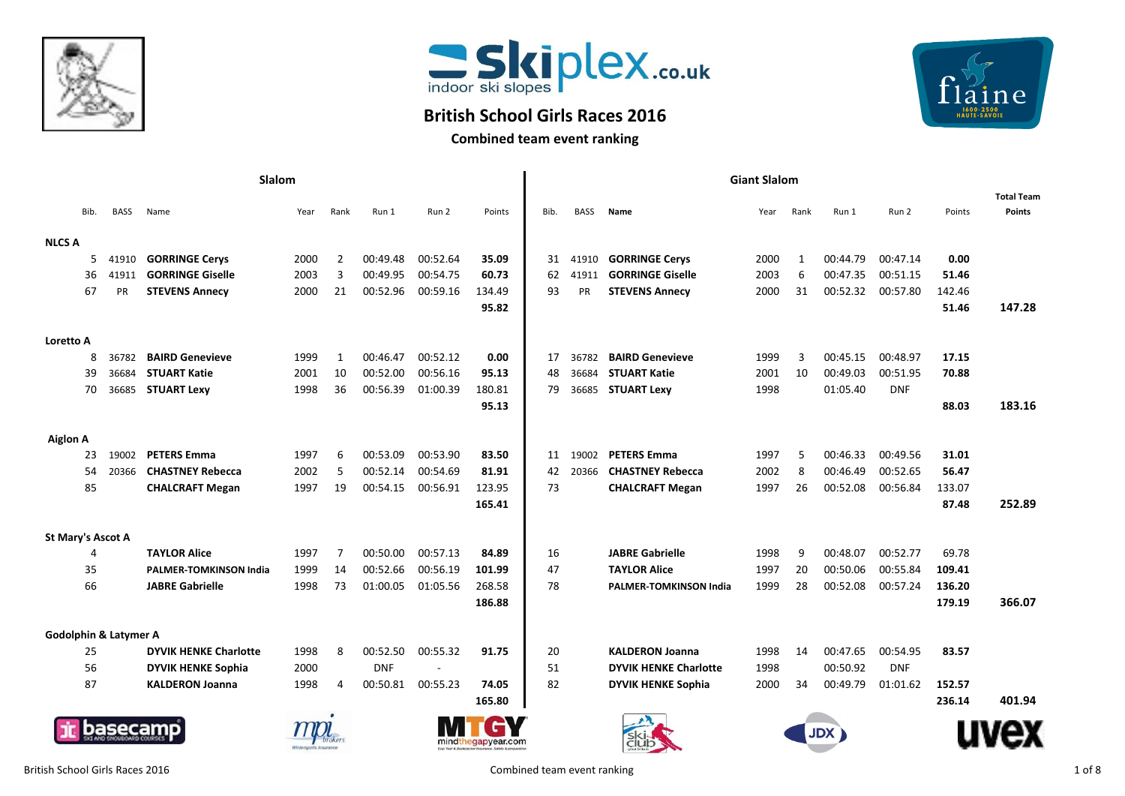



## **British School Girls Races 2016**



**Combined team event ranking**

|                   |      |                                  | Slalom                        |      |                |            |          | <b>Giant Slalom</b> |      |             |                              |      |              |            |            |        |                   |
|-------------------|------|----------------------------------|-------------------------------|------|----------------|------------|----------|---------------------|------|-------------|------------------------------|------|--------------|------------|------------|--------|-------------------|
|                   |      |                                  |                               |      |                |            |          |                     |      |             |                              |      |              |            |            |        | <b>Total Team</b> |
|                   | Bib. | <b>BASS</b>                      | Name                          | Year | Rank           | Run 1      | Run 2    | Points              | Bib. | <b>BASS</b> | Name                         | Year | Rank         | Run 1      | Run 2      | Points | <b>Points</b>     |
| <b>NLCS A</b>     |      |                                  |                               |      |                |            |          |                     |      |             |                              |      |              |            |            |        |                   |
|                   | 5.   | 41910                            | <b>GORRINGE Cervs</b>         | 2000 | $\overline{2}$ | 00:49.48   | 00:52.64 | 35.09               | 31   | 41910       | <b>GORRINGE Cervs</b>        | 2000 | $\mathbf{1}$ | 00:44.79   | 00:47.14   | 0.00   |                   |
|                   | 36   | 41911                            | <b>GORRINGE Giselle</b>       | 2003 | 3              | 00:49.95   | 00:54.75 | 60.73               | 62   | 41911       | <b>GORRINGE Giselle</b>      | 2003 | 6            | 00:47.35   | 00:51.15   | 51.46  |                   |
|                   | 67   | PR                               | <b>STEVENS Annecy</b>         | 2000 | 21             | 00:52.96   | 00:59.16 | 134.49              | 93   | PR          | <b>STEVENS Annecy</b>        | 2000 | 31           | 00:52.32   | 00:57.80   | 142.46 |                   |
|                   |      |                                  |                               |      |                |            |          | 95.82               |      |             |                              |      |              |            |            | 51.46  | 147.28            |
| Loretto A         |      |                                  |                               |      |                |            |          |                     |      |             |                              |      |              |            |            |        |                   |
|                   | 8    | 36782                            | <b>BAIRD Genevieve</b>        | 1999 | 1              | 00:46.47   | 00:52.12 | 0.00                | 17   | 36782       | <b>BAIRD Genevieve</b>       | 1999 | 3            | 00:45.15   | 00:48.97   | 17.15  |                   |
|                   | 39   | 36684                            | <b>STUART Katie</b>           | 2001 | 10             | 00:52.00   | 00:56.16 | 95.13               | 48   | 36684       | <b>STUART Katie</b>          | 2001 | 10           | 00:49.03   | 00:51.95   | 70.88  |                   |
|                   | 70   | 36685                            | <b>STUART Lexy</b>            | 1998 | 36             | 00:56.39   | 01:00.39 | 180.81              | 79   | 36685       | <b>STUART Lexy</b>           | 1998 |              | 01:05.40   | <b>DNF</b> |        |                   |
|                   |      |                                  |                               |      |                |            |          | 95.13               |      |             |                              |      |              |            |            | 88.03  | 183.16            |
| <b>Aiglon A</b>   |      |                                  |                               |      |                |            |          |                     |      |             |                              |      |              |            |            |        |                   |
|                   | 23   | 19002                            | <b>PETERS Emma</b>            | 1997 | 6              | 00:53.09   | 00:53.90 | 83.50               | 11   | 19002       | <b>PETERS Emma</b>           | 1997 | 5            | 00:46.33   | 00:49.56   | 31.01  |                   |
|                   | 54   | 20366                            | <b>CHASTNEY Rebecca</b>       | 2002 | 5              | 00:52.14   | 00:54.69 | 81.91               | 42   | 20366       | <b>CHASTNEY Rebecca</b>      | 2002 | 8            | 00:46.49   | 00:52.65   | 56.47  |                   |
|                   | 85   |                                  | <b>CHALCRAFT Megan</b>        | 1997 | 19             | 00:54.15   | 00:56.91 | 123.95              | 73   |             | <b>CHALCRAFT Megan</b>       | 1997 | 26           | 00:52.08   | 00:56.84   | 133.07 |                   |
|                   |      |                                  |                               |      |                |            |          | 165.41              |      |             |                              |      |              |            |            | 87.48  | 252.89            |
| St Mary's Ascot A |      |                                  |                               |      |                |            |          |                     |      |             |                              |      |              |            |            |        |                   |
|                   | 4    |                                  | <b>TAYLOR Alice</b>           | 1997 | $\overline{7}$ | 00:50.00   | 00:57.13 | 84.89               | 16   |             | <b>JABRE Gabrielle</b>       | 1998 | 9            | 00:48.07   | 00:52.77   | 69.78  |                   |
|                   | 35   |                                  | <b>PALMER-TOMKINSON India</b> | 1999 | 14             | 00:52.66   | 00:56.19 | 101.99              | 47   |             | <b>TAYLOR Alice</b>          | 1997 | 20           | 00:50.06   | 00:55.84   | 109.41 |                   |
|                   | 66   |                                  | <b>JABRE Gabrielle</b>        | 1998 | 73             | 01:00.05   | 01:05.56 | 268.58              | 78   |             | PALMER-TOMKINSON India       | 1999 | 28           | 00:52.08   | 00:57.24   | 136.20 |                   |
|                   |      |                                  |                               |      |                |            |          | 186.88              |      |             |                              |      |              |            |            | 179.19 | 366.07            |
|                   |      | <b>Godolphin &amp; Latymer A</b> |                               |      |                |            |          |                     |      |             |                              |      |              |            |            |        |                   |
|                   | 25   |                                  | <b>DYVIK HENKE Charlotte</b>  | 1998 | 8              | 00:52.50   | 00:55.32 | 91.75               | 20   |             | <b>KALDERON Joanna</b>       | 1998 | 14           | 00:47.65   | 00:54.95   | 83.57  |                   |
|                   | 56   |                                  | <b>DYVIK HENKE Sophia</b>     | 2000 |                | <b>DNF</b> |          |                     | 51   |             | <b>DYVIK HENKE Charlotte</b> | 1998 |              | 00:50.92   | <b>DNF</b> |        |                   |
|                   | 87   |                                  | <b>KALDERON Joanna</b>        | 1998 | 4              | 00:50.81   | 00:55.23 | 74.05               | 82   |             | <b>DYVIK HENKE Sophia</b>    | 2000 | 34           | 00:49.79   | 01:01.62   | 152.57 |                   |
|                   |      |                                  |                               |      |                |            |          | 165.80              |      |             |                              |      |              |            |            | 236.14 | 401.94            |
|                   |      | aseca                            |                               |      |                |            |          | mindthegapyear.com  |      |             |                              |      |              | <b>JDX</b> |            |        |                   |
|                   |      |                                  |                               |      |                |            |          |                     |      |             | club                         |      |              |            |            |        |                   |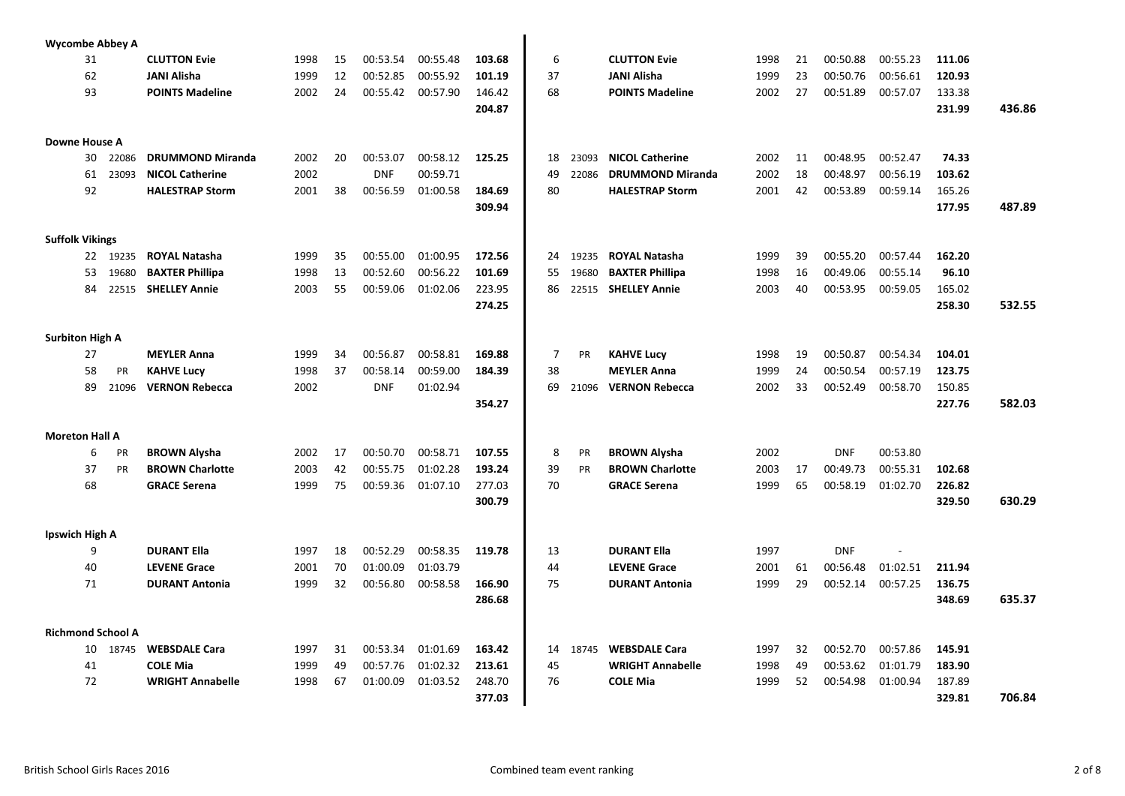|                        |    | <b>Wycombe Abbey A</b>   |                         |      |    |            |          |        |                |           |                         |      |    |            |          |        |        |
|------------------------|----|--------------------------|-------------------------|------|----|------------|----------|--------|----------------|-----------|-------------------------|------|----|------------|----------|--------|--------|
|                        | 31 |                          | <b>CLUTTON Evie</b>     | 1998 | 15 | 00:53.54   | 00:55.48 | 103.68 | 6              |           | <b>CLUTTON Evie</b>     | 1998 | 21 | 00:50.88   | 00:55.23 | 111.06 |        |
|                        | 62 |                          | <b>JANI Alisha</b>      | 1999 | 12 | 00:52.85   | 00:55.92 | 101.19 | 37             |           | <b>JANI Alisha</b>      | 1999 | 23 | 00:50.76   | 00:56.61 | 120.93 |        |
|                        | 93 |                          | <b>POINTS Madeline</b>  | 2002 | 24 | 00:55.42   | 00:57.90 | 146.42 | 68             |           | <b>POINTS Madeline</b>  | 2002 | 27 | 00:51.89   | 00:57.07 | 133.38 |        |
|                        |    |                          |                         |      |    |            |          | 204.87 |                |           |                         |      |    |            |          | 231.99 | 436.86 |
|                        |    |                          |                         |      |    |            |          |        |                |           |                         |      |    |            |          |        |        |
| Downe House A          |    |                          |                         |      |    |            |          |        |                |           |                         |      |    |            |          |        |        |
|                        | 30 | 22086                    | <b>DRUMMOND Miranda</b> | 2002 | 20 | 00:53.07   | 00:58.12 | 125.25 | 18             | 23093     | <b>NICOL Catherine</b>  | 2002 | 11 | 00:48.95   | 00:52.47 | 74.33  |        |
|                        | 61 | 23093                    | <b>NICOL Catherine</b>  | 2002 |    | <b>DNF</b> | 00:59.71 |        | 49             | 22086     | <b>DRUMMOND Miranda</b> | 2002 | 18 | 00:48.97   | 00:56.19 | 103.62 |        |
|                        | 92 |                          | <b>HALESTRAP Storm</b>  | 2001 | 38 | 00:56.59   | 01:00.58 | 184.69 | 80             |           | <b>HALESTRAP Storm</b>  | 2001 | 42 | 00:53.89   | 00:59.14 | 165.26 |        |
|                        |    |                          |                         |      |    |            |          | 309.94 |                |           |                         |      |    |            |          | 177.95 | 487.89 |
|                        |    |                          |                         |      |    |            |          |        |                |           |                         |      |    |            |          |        |        |
| <b>Suffolk Vikings</b> |    |                          |                         |      |    |            |          |        |                |           |                         |      |    |            |          |        |        |
|                        |    | 22 19235                 | <b>ROYAL Natasha</b>    | 1999 | 35 | 00:55.00   | 01:00.95 | 172.56 | 24             | 19235     | <b>ROYAL Natasha</b>    | 1999 | 39 | 00:55.20   | 00:57.44 | 162.20 |        |
|                        | 53 | 19680                    | <b>BAXTER Phillipa</b>  | 1998 | 13 | 00:52.60   | 00:56.22 | 101.69 | 55             | 19680     | <b>BAXTER Phillipa</b>  | 1998 | 16 | 00:49.06   | 00:55.14 | 96.10  |        |
|                        | 84 | 22515                    | <b>SHELLEY Annie</b>    | 2003 | 55 | 00:59.06   | 01:02.06 | 223.95 | 86             | 22515     | <b>SHELLEY Annie</b>    | 2003 | 40 | 00:53.95   | 00:59.05 | 165.02 |        |
|                        |    |                          |                         |      |    |            |          | 274.25 |                |           |                         |      |    |            |          | 258.30 | 532.55 |
|                        |    |                          |                         |      |    |            |          |        |                |           |                         |      |    |            |          |        |        |
| <b>Surbiton High A</b> |    |                          |                         |      |    |            |          |        |                |           |                         |      |    |            |          |        |        |
|                        | 27 |                          | <b>MEYLER Anna</b>      | 1999 | 34 | 00:56.87   | 00:58.81 | 169.88 | $\overline{7}$ | <b>PR</b> | <b>KAHVE Lucy</b>       | 1998 | 19 | 00:50.87   | 00:54.34 | 104.01 |        |
|                        | 58 | PR                       | <b>KAHVE Lucy</b>       | 1998 | 37 | 00:58.14   | 00:59.00 | 184.39 | 38             |           | <b>MEYLER Anna</b>      | 1999 | 24 | 00:50.54   | 00:57.19 | 123.75 |        |
|                        | 89 | 21096                    | <b>VERNON Rebecca</b>   | 2002 |    | <b>DNF</b> | 01:02.94 |        | 69             | 21096     | <b>VERNON Rebecca</b>   | 2002 | 33 | 00:52.49   | 00:58.70 | 150.85 |        |
|                        |    |                          |                         |      |    |            |          | 354.27 |                |           |                         |      |    |            |          | 227.76 | 582.03 |
|                        |    |                          |                         |      |    |            |          |        |                |           |                         |      |    |            |          |        |        |
| <b>Moreton Hall A</b>  |    |                          |                         |      |    |            |          |        |                |           |                         |      |    |            |          |        |        |
|                        | 6  | PR                       | <b>BROWN Alysha</b>     | 2002 | 17 | 00:50.70   | 00:58.71 | 107.55 | 8              | PR        | <b>BROWN Alysha</b>     | 2002 |    | <b>DNF</b> | 00:53.80 |        |        |
|                        | 37 | PR                       | <b>BROWN Charlotte</b>  | 2003 | 42 | 00:55.75   | 01:02.28 | 193.24 | 39             | PR        | <b>BROWN Charlotte</b>  | 2003 | 17 | 00:49.73   | 00:55.31 | 102.68 |        |
|                        | 68 |                          | <b>GRACE Serena</b>     | 1999 | 75 | 00:59.36   | 01:07.10 | 277.03 | 70             |           | <b>GRACE Serena</b>     | 1999 | 65 | 00:58.19   | 01:02.70 | 226.82 |        |
|                        |    |                          |                         |      |    |            |          | 300.79 |                |           |                         |      |    |            |          | 329.50 | 630.29 |
| Ipswich High A         |    |                          |                         |      |    |            |          |        |                |           |                         |      |    |            |          |        |        |
|                        | 9  |                          | <b>DURANT Ella</b>      | 1997 | 18 | 00:52.29   | 00:58.35 | 119.78 | 13             |           | <b>DURANT Ella</b>      | 1997 |    | <b>DNF</b> |          |        |        |
|                        | 40 |                          | <b>LEVENE Grace</b>     | 2001 | 70 | 01:00.09   | 01:03.79 |        | 44             |           | <b>LEVENE Grace</b>     | 2001 | 61 | 00:56.48   | 01:02.51 | 211.94 |        |
|                        | 71 |                          | <b>DURANT Antonia</b>   | 1999 | 32 | 00:56.80   | 00:58.58 | 166.90 | 75             |           | <b>DURANT Antonia</b>   | 1999 | 29 | 00:52.14   | 00:57.25 | 136.75 |        |
|                        |    |                          |                         |      |    |            |          | 286.68 |                |           |                         |      |    |            |          | 348.69 | 635.37 |
|                        |    |                          |                         |      |    |            |          |        |                |           |                         |      |    |            |          |        |        |
|                        |    | <b>Richmond School A</b> |                         |      |    |            |          |        |                |           |                         |      |    |            |          |        |        |
|                        | 10 | 18745                    | <b>WEBSDALE Cara</b>    | 1997 | 31 | 00:53.34   | 01:01.69 | 163.42 | 14             | 18745     | <b>WEBSDALE Cara</b>    | 1997 | 32 | 00:52.70   | 00:57.86 | 145.91 |        |
|                        | 41 |                          | <b>COLE Mia</b>         | 1999 | 49 | 00:57.76   | 01:02.32 | 213.61 | 45             |           | <b>WRIGHT Annabelle</b> | 1998 | 49 | 00:53.62   | 01:01.79 | 183.90 |        |
|                        | 72 |                          | <b>WRIGHT Annabelle</b> | 1998 | 67 | 01:00.09   | 01:03.52 | 248.70 | 76             |           | <b>COLE Mia</b>         | 1999 | 52 | 00:54.98   | 01:00.94 | 187.89 |        |
|                        |    |                          |                         |      |    |            |          | 377.03 |                |           |                         |      |    |            |          | 329.81 | 706.84 |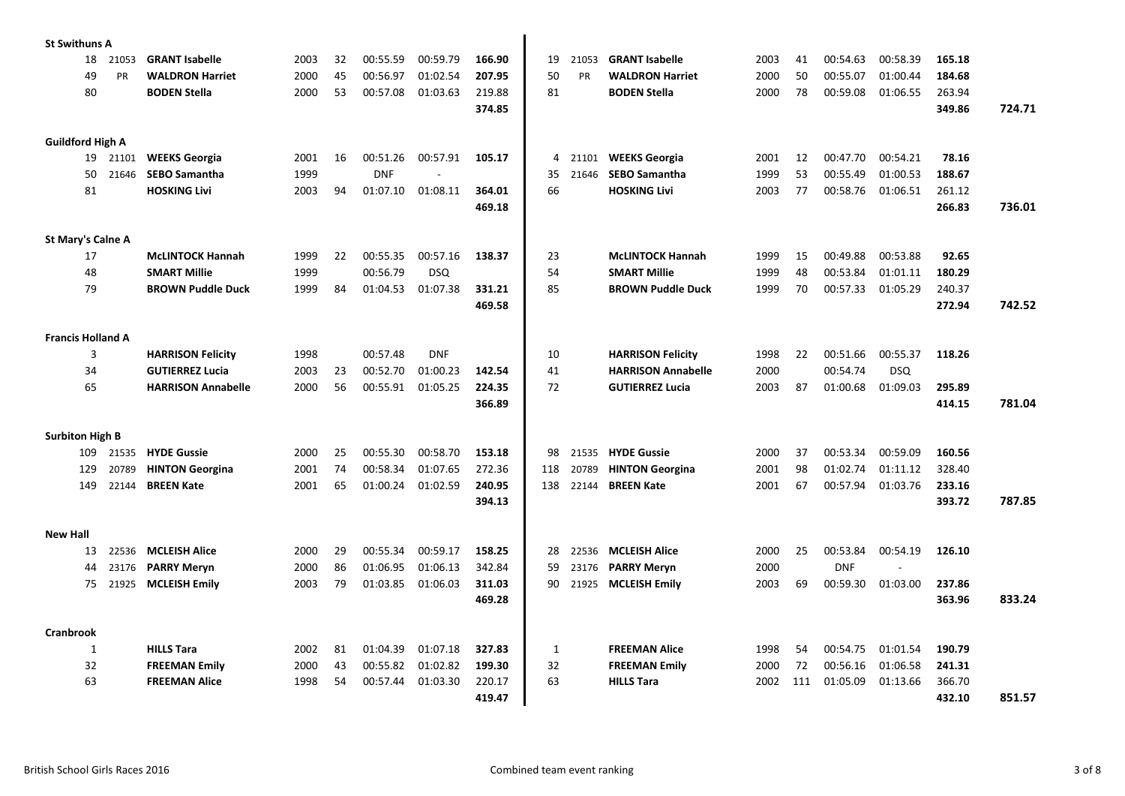| <b>St Swithuns A</b>     |       |                                             |      |    |            |            |                  |              |           |                                             |      |     |            |            |                  |        |
|--------------------------|-------|---------------------------------------------|------|----|------------|------------|------------------|--------------|-----------|---------------------------------------------|------|-----|------------|------------|------------------|--------|
| 18                       | 21053 | <b>GRANT Isabelle</b>                       | 2003 | 32 | 00:55.59   | 00:59.79   | 166.90           | 19           | 21053     | <b>GRANT Isabelle</b>                       | 2003 | 41  | 00:54.63   | 00:58.39   | 165.18           |        |
| 49                       | PR    | <b>WALDRON Harriet</b>                      | 2000 | 45 | 00:56.97   | 01:02.54   | 207.95           | 50           | <b>PR</b> | <b>WALDRON Harriet</b>                      | 2000 | 50  | 00:55.07   | 01:00.44   | 184.68           |        |
| 80                       |       | <b>BODEN Stella</b>                         | 2000 | 53 | 00:57.08   | 01:03.63   | 219.88           | 81           |           | <b>BODEN Stella</b>                         | 2000 | 78  | 00:59.08   | 01:06.55   | 263.94           |        |
|                          |       |                                             |      |    |            |            | 374.85           |              |           |                                             |      |     |            |            | 349.86           | 724.71 |
|                          |       |                                             |      |    |            |            |                  |              |           |                                             |      |     |            |            |                  |        |
| <b>Guildford High A</b>  |       |                                             |      |    |            |            |                  |              |           |                                             |      |     |            |            |                  |        |
| 19                       | 21101 | <b>WEEKS Georgia</b>                        | 2001 | 16 | 00:51.26   | 00:57.91   | 105.17           | 4            | 21101     | <b>WEEKS Georgia</b>                        | 2001 | 12  | 00:47.70   | 00:54.21   | 78.16            |        |
| 50                       | 21646 | <b>SEBO Samantha</b>                        | 1999 |    | <b>DNF</b> |            |                  | 35           | 21646     | <b>SEBO Samantha</b>                        | 1999 | 53  | 00:55.49   | 01:00.53   | 188.67           |        |
| 81                       |       | <b>HOSKING Livi</b>                         | 2003 | 94 | 01:07.10   | 01:08.11   | 364.01           | 66           |           | <b>HOSKING Livi</b>                         | 2003 | 77  | 00:58.76   | 01:06.51   | 261.12           |        |
|                          |       |                                             |      |    |            |            | 469.18           |              |           |                                             |      |     |            |            | 266.83           | 736.01 |
|                          |       |                                             |      |    |            |            |                  |              |           |                                             |      |     |            |            |                  |        |
| St Mary's Calne A        |       |                                             |      |    |            |            |                  |              |           |                                             |      |     |            |            |                  |        |
| 17                       |       | <b>McLINTOCK Hannah</b>                     | 1999 | 22 | 00:55.35   | 00:57.16   | 138.37           | 23           |           | <b>McLINTOCK Hannah</b>                     | 1999 | 15  | 00:49.88   | 00:53.88   | 92.65            |        |
| 48                       |       | <b>SMART Millie</b>                         | 1999 |    | 00:56.79   | <b>DSQ</b> |                  | 54           |           | <b>SMART Millie</b>                         | 1999 | 48  | 00:53.84   | 01:01.11   | 180.29           |        |
| 79                       |       | <b>BROWN Puddle Duck</b>                    | 1999 | 84 | 01:04.53   | 01:07.38   | 331.21           | 85           |           | <b>BROWN Puddle Duck</b>                    | 1999 | 70  | 00:57.33   | 01:05.29   | 240.37           |        |
|                          |       |                                             |      |    |            |            | 469.58           |              |           |                                             |      |     |            |            | 272.94           | 742.52 |
|                          |       |                                             |      |    |            |            |                  |              |           |                                             |      |     |            |            |                  |        |
| <b>Francis Holland A</b> |       |                                             |      |    |            |            |                  |              |           |                                             |      |     |            |            |                  |        |
| 3                        |       | <b>HARRISON Felicity</b>                    | 1998 |    | 00:57.48   | <b>DNF</b> |                  | 10           |           | <b>HARRISON Felicity</b>                    | 1998 | 22  | 00:51.66   | 00:55.37   | 118.26           |        |
| 34                       |       | <b>GUTIERREZ Lucia</b>                      | 2003 | 23 | 00:52.70   | 01:00.23   | 142.54           | 41           |           | <b>HARRISON Annabelle</b>                   | 2000 |     | 00:54.74   | <b>DSQ</b> |                  |        |
| 65                       |       | <b>HARRISON Annabelle</b>                   | 2000 | 56 | 00:55.91   | 01:05.25   | 224.35           | 72           |           | <b>GUTIERREZ Lucia</b>                      | 2003 | 87  | 01:00.68   | 01:09.03   | 295.89           |        |
|                          |       |                                             |      |    |            |            | 366.89           |              |           |                                             |      |     |            |            | 414.15           | 781.04 |
|                          |       |                                             |      |    |            |            |                  |              |           |                                             |      |     |            |            |                  |        |
| <b>Surbiton High B</b>   |       |                                             |      |    |            |            |                  |              |           |                                             |      |     |            |            |                  |        |
| 109                      | 21535 | <b>HYDE Gussie</b>                          | 2000 | 25 | 00:55.30   | 00:58.70   | 153.18           | 98           | 21535     | <b>HYDE Gussie</b>                          | 2000 | 37  | 00:53.34   | 00:59.09   | 160.56           |        |
| 129                      | 20789 | <b>HINTON Georgina</b><br><b>BREEN Kate</b> | 2001 | 74 | 00:58.34   | 01:07.65   | 272.36<br>240.95 | 118          | 20789     | <b>HINTON Georgina</b><br><b>BREEN Kate</b> | 2001 | 98  | 01:02.74   | 01:11.12   | 328.40<br>233.16 |        |
| 149                      | 22144 |                                             | 2001 | 65 | 01:00.24   | 01:02.59   |                  | 138          | 22144     |                                             | 2001 | 67  | 00:57.94   | 01:03.76   |                  | 787.85 |
|                          |       |                                             |      |    |            |            | 394.13           |              |           |                                             |      |     |            |            | 393.72           |        |
| <b>New Hall</b>          |       |                                             |      |    |            |            |                  |              |           |                                             |      |     |            |            |                  |        |
| 13                       | 22536 | <b>MCLEISH Alice</b>                        | 2000 | 29 | 00:55.34   | 00:59.17   | 158.25           | 28           | 22536     | <b>MCLEISH Alice</b>                        | 2000 | 25  | 00:53.84   | 00:54.19   | 126.10           |        |
| 44                       | 23176 | <b>PARRY Meryn</b>                          | 2000 | 86 | 01:06.95   | 01:06.13   | 342.84           | 59           | 23176     | <b>PARRY Meryn</b>                          | 2000 |     | <b>DNF</b> |            |                  |        |
| 75                       | 21925 | <b>MCLEISH Emily</b>                        | 2003 | 79 | 01:03.85   | 01:06.03   | 311.03           | 90           | 21925     | <b>MCLEISH Emily</b>                        | 2003 | 69  | 00:59.30   | 01:03.00   | 237.86           |        |
|                          |       |                                             |      |    |            |            | 469.28           |              |           |                                             |      |     |            |            | 363.96           | 833.24 |
|                          |       |                                             |      |    |            |            |                  |              |           |                                             |      |     |            |            |                  |        |
| Cranbrook                |       |                                             |      |    |            |            |                  |              |           |                                             |      |     |            |            |                  |        |
| $\mathbf{1}$             |       | <b>HILLS Tara</b>                           | 2002 | 81 | 01:04.39   | 01:07.18   | 327.83           | $\mathbf{1}$ |           | <b>FREEMAN Alice</b>                        | 1998 | 54  | 00:54.75   | 01:01.54   | 190.79           |        |
| 32                       |       | <b>FREEMAN Emily</b>                        | 2000 | 43 | 00:55.82   | 01:02.82   | 199.30           | 32           |           | <b>FREEMAN Emily</b>                        | 2000 | 72  | 00:56.16   | 01:06.58   | 241.31           |        |
| 63                       |       | <b>FREEMAN Alice</b>                        | 1998 | 54 | 00:57.44   | 01:03.30   | 220.17           | 63           |           | <b>HILLS Tara</b>                           | 2002 | 111 | 01:05.09   | 01:13.66   | 366.70           |        |
|                          |       |                                             |      |    |            |            | 419.47           |              |           |                                             |      |     |            |            | 432.10           | 851.57 |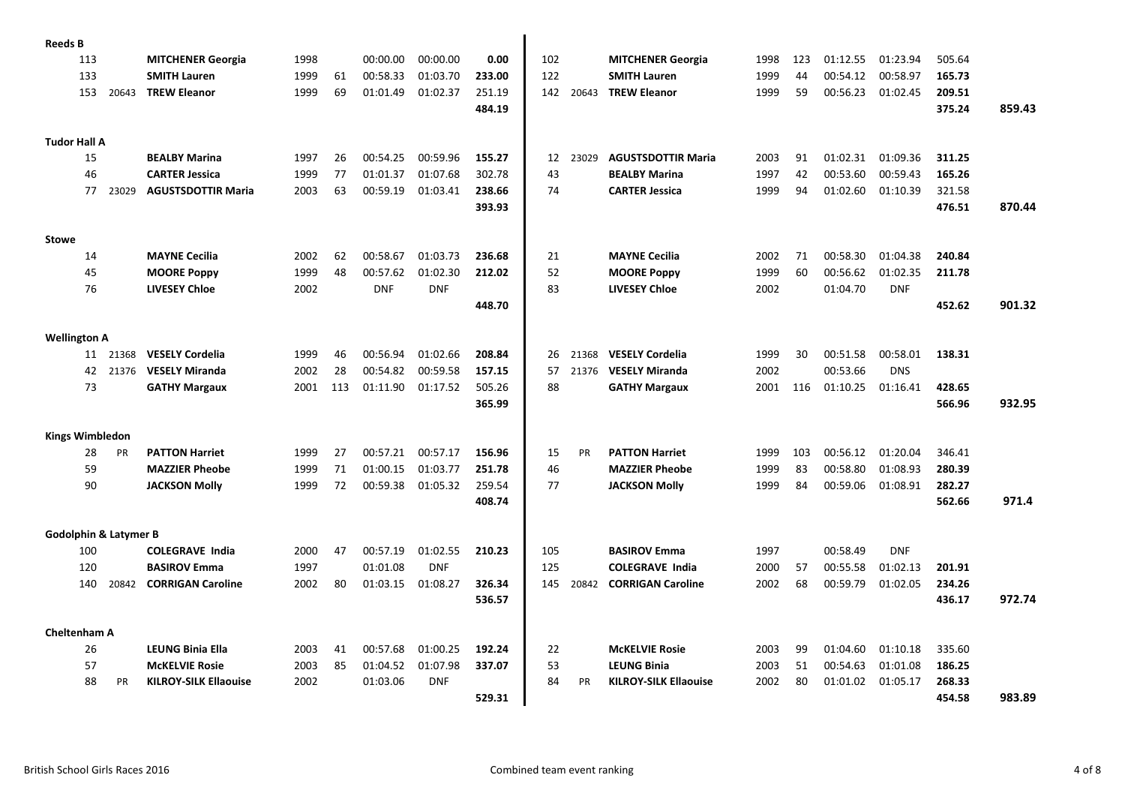| <b>Reeds B</b>         |     |                                  |                              |      |     |            |            |        |     |           |                              |      |     |          |            |        |        |
|------------------------|-----|----------------------------------|------------------------------|------|-----|------------|------------|--------|-----|-----------|------------------------------|------|-----|----------|------------|--------|--------|
|                        | 113 |                                  | <b>MITCHENER Georgia</b>     | 1998 |     | 00:00.00   | 00:00.00   | 0.00   | 102 |           | <b>MITCHENER Georgia</b>     | 1998 | 123 | 01:12.55 | 01:23.94   | 505.64 |        |
|                        | 133 |                                  | <b>SMITH Lauren</b>          | 1999 | 61  | 00:58.33   | 01:03.70   | 233.00 | 122 |           | <b>SMITH Lauren</b>          | 1999 | 44  | 00:54.12 | 00:58.97   | 165.73 |        |
|                        | 153 | 20643                            | <b>TREW Eleanor</b>          | 1999 | 69  | 01:01.49   | 01:02.37   | 251.19 | 142 | 20643     | <b>TREW Eleanor</b>          | 1999 | 59  | 00:56.23 | 01:02.45   | 209.51 |        |
|                        |     |                                  |                              |      |     |            |            | 484.19 |     |           |                              |      |     |          |            | 375.24 | 859.43 |
|                        |     |                                  |                              |      |     |            |            |        |     |           |                              |      |     |          |            |        |        |
| <b>Tudor Hall A</b>    |     |                                  |                              |      |     |            |            |        |     |           |                              |      |     |          |            |        |        |
|                        | 15  |                                  | <b>BEALBY Marina</b>         | 1997 | 26  | 00:54.25   | 00:59.96   | 155.27 | 12  | 23029     | <b>AGUSTSDOTTIR Maria</b>    | 2003 | 91  | 01:02.31 | 01:09.36   | 311.25 |        |
|                        | 46  |                                  | <b>CARTER Jessica</b>        | 1999 | 77  | 01:01.37   | 01:07.68   | 302.78 | 43  |           | <b>BEALBY Marina</b>         | 1997 | 42  | 00:53.60 | 00:59.43   | 165.26 |        |
|                        | 77  | 23029                            | <b>AGUSTSDOTTIR Maria</b>    | 2003 | 63  | 00:59.19   | 01:03.41   | 238.66 | 74  |           | <b>CARTER Jessica</b>        | 1999 | 94  | 01:02.60 | 01:10.39   | 321.58 |        |
|                        |     |                                  |                              |      |     |            |            | 393.93 |     |           |                              |      |     |          |            | 476.51 | 870.44 |
|                        |     |                                  |                              |      |     |            |            |        |     |           |                              |      |     |          |            |        |        |
| <b>Stowe</b>           |     |                                  |                              |      |     |            |            |        |     |           |                              |      |     |          |            |        |        |
|                        | 14  |                                  | <b>MAYNE Cecilia</b>         | 2002 | 62  | 00:58.67   | 01:03.73   | 236.68 | 21  |           | <b>MAYNE Cecilia</b>         | 2002 | 71  | 00:58.30 | 01:04.38   | 240.84 |        |
|                        | 45  |                                  | <b>MOORE Poppy</b>           | 1999 | 48  | 00:57.62   | 01:02.30   | 212.02 | 52  |           | <b>MOORE Poppy</b>           | 1999 | 60  | 00:56.62 | 01:02.35   | 211.78 |        |
|                        | 76  |                                  | <b>LIVESEY Chloe</b>         | 2002 |     | <b>DNF</b> | <b>DNF</b> |        | 83  |           | <b>LIVESEY Chloe</b>         | 2002 |     | 01:04.70 | <b>DNF</b> |        |        |
|                        |     |                                  |                              |      |     |            |            | 448.70 |     |           |                              |      |     |          |            | 452.62 | 901.32 |
|                        |     |                                  |                              |      |     |            |            |        |     |           |                              |      |     |          |            |        |        |
| <b>Wellington A</b>    |     |                                  |                              |      |     |            |            |        |     |           |                              |      |     |          |            |        |        |
|                        |     | 11 21368                         | <b>VESELY Cordelia</b>       | 1999 | 46  | 00:56.94   | 01:02.66   | 208.84 | 26  | 21368     | <b>VESELY Cordelia</b>       | 1999 | 30  | 00:51.58 | 00:58.01   | 138.31 |        |
|                        | 42  | 21376                            | <b>VESELY Miranda</b>        | 2002 | 28  | 00:54.82   | 00:59.58   | 157.15 | 57  | 21376     | <b>VESELY Miranda</b>        | 2002 |     | 00:53.66 | <b>DNS</b> |        |        |
|                        | 73  |                                  |                              | 2001 | 113 |            | 01:17.52   | 505.26 | 88  |           |                              |      |     | 01:10.25 |            | 428.65 |        |
|                        |     |                                  | <b>GATHY Margaux</b>         |      |     | 01:11.90   |            |        |     |           | <b>GATHY Margaux</b>         | 2001 | 116 |          | 01:16.41   |        |        |
|                        |     |                                  |                              |      |     |            |            | 365.99 |     |           |                              |      |     |          |            | 566.96 | 932.95 |
|                        |     |                                  |                              |      |     |            |            |        |     |           |                              |      |     |          |            |        |        |
| <b>Kings Wimbledon</b> |     |                                  |                              |      |     |            |            |        |     |           |                              |      |     |          |            |        |        |
|                        | 28  | <b>PR</b>                        | <b>PATTON Harriet</b>        | 1999 | 27  | 00:57.21   | 00:57.17   | 156.96 | 15  | <b>PR</b> | <b>PATTON Harriet</b>        | 1999 | 103 | 00:56.12 | 01:20.04   | 346.41 |        |
|                        | 59  |                                  | <b>MAZZIER Pheobe</b>        | 1999 | 71  | 01:00.15   | 01:03.77   | 251.78 | 46  |           | <b>MAZZIER Pheobe</b>        | 1999 | 83  | 00:58.80 | 01:08.93   | 280.39 |        |
|                        | 90  |                                  | <b>JACKSON Molly</b>         | 1999 | 72  | 00:59.38   | 01:05.32   | 259.54 | 77  |           | <b>JACKSON Molly</b>         | 1999 | 84  | 00:59.06 | 01:08.91   | 282.27 |        |
|                        |     |                                  |                              |      |     |            |            | 408.74 |     |           |                              |      |     |          |            | 562.66 | 971.4  |
|                        |     |                                  |                              |      |     |            |            |        |     |           |                              |      |     |          |            |        |        |
|                        |     | <b>Godolphin &amp; Latymer B</b> |                              |      |     |            |            |        |     |           |                              |      |     |          |            |        |        |
|                        | 100 |                                  | <b>COLEGRAVE India</b>       | 2000 | 47  | 00:57.19   | 01:02.55   | 210.23 | 105 |           | <b>BASIROV Emma</b>          | 1997 |     | 00:58.49 | <b>DNF</b> |        |        |
|                        | 120 |                                  | <b>BASIROV Emma</b>          | 1997 |     | 01:01.08   | <b>DNF</b> |        | 125 |           | <b>COLEGRAVE India</b>       | 2000 | 57  | 00:55.58 | 01:02.13   | 201.91 |        |
|                        | 140 | 20842                            | <b>CORRIGAN Caroline</b>     | 2002 | 80  | 01:03.15   | 01:08.27   | 326.34 | 145 | 20842     | <b>CORRIGAN Caroline</b>     | 2002 | 68  | 00:59.79 | 01:02.05   | 234.26 |        |
|                        |     |                                  |                              |      |     |            |            | 536.57 |     |           |                              |      |     |          |            | 436.17 | 972.74 |
|                        |     |                                  |                              |      |     |            |            |        |     |           |                              |      |     |          |            |        |        |
| <b>Cheltenham A</b>    |     |                                  |                              |      |     |            |            |        |     |           |                              |      |     |          |            |        |        |
|                        | 26  |                                  | <b>LEUNG Binia Ella</b>      | 2003 | 41  | 00:57.68   | 01:00.25   | 192.24 | 22  |           | <b>McKELVIE Rosie</b>        | 2003 | 99  | 01:04.60 | 01:10.18   | 335.60 |        |
|                        | 57  |                                  | <b>McKELVIE Rosie</b>        | 2003 | 85  | 01:04.52   | 01:07.98   | 337.07 | 53  |           | <b>LEUNG Binia</b>           | 2003 | 51  | 00:54.63 | 01:01.08   | 186.25 |        |
|                        | 88  | PR                               | <b>KILROY-SILK Ellaouise</b> | 2002 |     | 01:03.06   | <b>DNF</b> |        | 84  | PR        | <b>KILROY-SILK Ellaouise</b> | 2002 | 80  | 01:01.02 | 01:05.17   | 268.33 |        |
|                        |     |                                  |                              |      |     |            |            | 529.31 |     |           |                              |      |     |          |            | 454.58 | 983.89 |
|                        |     |                                  |                              |      |     |            |            |        |     |           |                              |      |     |          |            |        |        |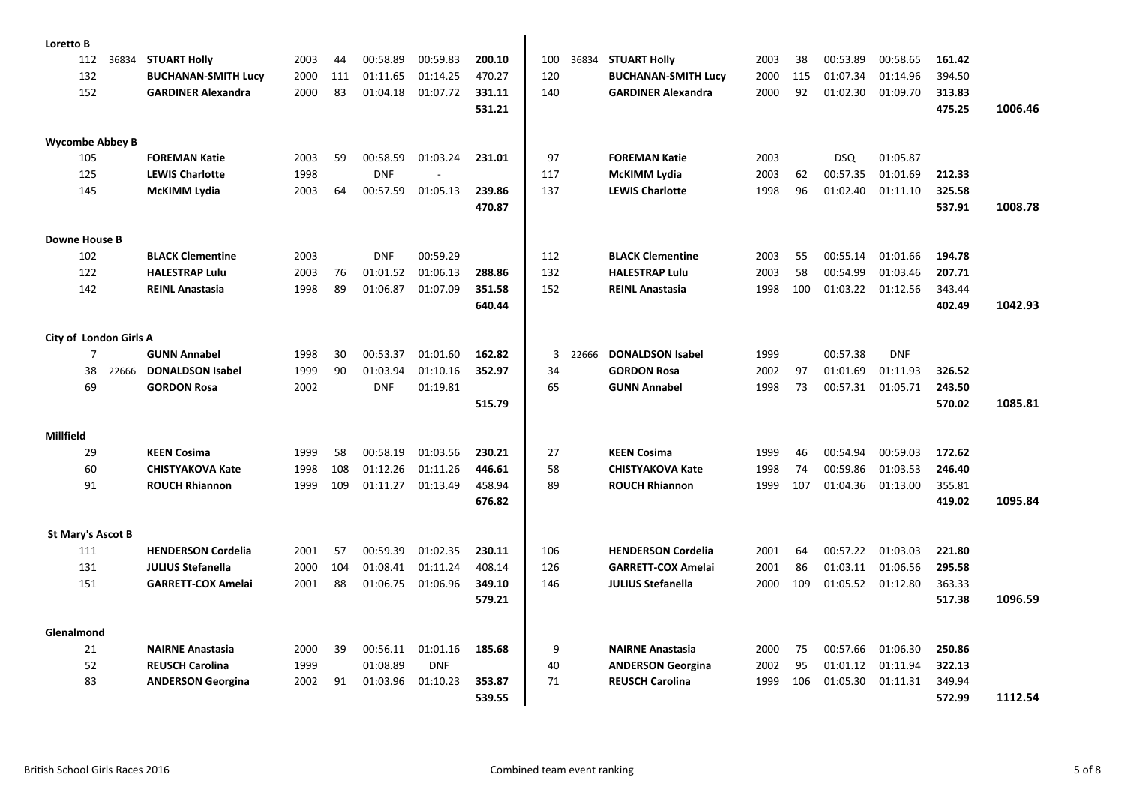| Loretto B                |       |                            |      |     |            |            |        |     |       |                            |      |     |            |            |        |         |
|--------------------------|-------|----------------------------|------|-----|------------|------------|--------|-----|-------|----------------------------|------|-----|------------|------------|--------|---------|
| 112                      | 36834 | <b>STUART Holly</b>        | 2003 | 44  | 00:58.89   | 00:59.83   | 200.10 | 100 | 36834 | <b>STUART Holly</b>        | 2003 | 38  | 00:53.89   | 00:58.65   | 161.42 |         |
| 132                      |       | <b>BUCHANAN-SMITH Lucy</b> | 2000 | 111 | 01:11.65   | 01:14.25   | 470.27 | 120 |       | <b>BUCHANAN-SMITH Lucy</b> | 2000 | 115 | 01:07.34   | 01:14.96   | 394.50 |         |
| 152                      |       | <b>GARDINER Alexandra</b>  | 2000 | 83  | 01:04.18   | 01:07.72   | 331.11 | 140 |       | <b>GARDINER Alexandra</b>  | 2000 | 92  | 01:02.30   | 01:09.70   | 313.83 |         |
|                          |       |                            |      |     |            |            | 531.21 |     |       |                            |      |     |            |            | 475.25 | 1006.46 |
|                          |       |                            |      |     |            |            |        |     |       |                            |      |     |            |            |        |         |
| <b>Wycombe Abbey B</b>   |       |                            |      |     |            |            |        |     |       |                            |      |     |            |            |        |         |
| 105                      |       | <b>FOREMAN Katie</b>       | 2003 | 59  | 00:58.59   | 01:03.24   | 231.01 | 97  |       | <b>FOREMAN Katie</b>       | 2003 |     | <b>DSQ</b> | 01:05.87   |        |         |
| 125                      |       | <b>LEWIS Charlotte</b>     | 1998 |     | <b>DNF</b> |            |        | 117 |       | McKIMM Lydia               | 2003 | 62  | 00:57.35   | 01:01.69   | 212.33 |         |
| 145                      |       | <b>McKIMM Lydia</b>        | 2003 | 64  | 00:57.59   | 01:05.13   | 239.86 | 137 |       | <b>LEWIS Charlotte</b>     | 1998 | 96  | 01:02.40   | 01:11.10   | 325.58 |         |
|                          |       |                            |      |     |            |            | 470.87 |     |       |                            |      |     |            |            | 537.91 | 1008.78 |
|                          |       |                            |      |     |            |            |        |     |       |                            |      |     |            |            |        |         |
| <b>Downe House B</b>     |       |                            |      |     |            |            |        |     |       |                            |      |     |            |            |        |         |
| 102                      |       | <b>BLACK Clementine</b>    | 2003 |     | <b>DNF</b> | 00:59.29   |        | 112 |       | <b>BLACK Clementine</b>    | 2003 | 55  | 00:55.14   | 01:01.66   | 194.78 |         |
| 122                      |       | <b>HALESTRAP Lulu</b>      | 2003 | 76  | 01:01.52   | 01:06.13   | 288.86 | 132 |       | <b>HALESTRAP Lulu</b>      | 2003 | 58  | 00:54.99   | 01:03.46   | 207.71 |         |
| 142                      |       | <b>REINL Anastasia</b>     | 1998 | 89  | 01:06.87   | 01:07.09   | 351.58 | 152 |       | <b>REINL Anastasia</b>     | 1998 | 100 | 01:03.22   | 01:12.56   | 343.44 |         |
|                          |       |                            |      |     |            |            | 640.44 |     |       |                            |      |     |            |            | 402.49 | 1042.93 |
|                          |       |                            |      |     |            |            |        |     |       |                            |      |     |            |            |        |         |
| City of London Girls A   |       |                            |      |     |            |            |        |     |       |                            |      |     |            |            |        |         |
| $\overline{7}$           |       | <b>GUNN Annabel</b>        | 1998 | 30  | 00:53.37   | 01:01.60   | 162.82 | 3   | 22666 | <b>DONALDSON Isabel</b>    | 1999 |     | 00:57.38   | <b>DNF</b> |        |         |
| 38                       | 22666 | <b>DONALDSON Isabel</b>    | 1999 | 90  | 01:03.94   | 01:10.16   | 352.97 | 34  |       | <b>GORDON Rosa</b>         | 2002 | 97  | 01:01.69   | 01:11.93   | 326.52 |         |
| 69                       |       | <b>GORDON Rosa</b>         | 2002 |     | <b>DNF</b> | 01:19.81   |        | 65  |       | <b>GUNN Annabel</b>        | 1998 | 73  | 00:57.31   | 01:05.71   | 243.50 |         |
|                          |       |                            |      |     |            |            | 515.79 |     |       |                            |      |     |            |            | 570.02 | 1085.81 |
|                          |       |                            |      |     |            |            |        |     |       |                            |      |     |            |            |        |         |
| Millfield                |       |                            |      |     |            |            |        |     |       |                            |      |     |            |            |        |         |
| 29                       |       | <b>KEEN Cosima</b>         | 1999 | 58  | 00:58.19   | 01:03.56   | 230.21 | 27  |       | <b>KEEN Cosima</b>         | 1999 | 46  | 00:54.94   | 00:59.03   | 172.62 |         |
| 60                       |       | <b>CHISTYAKOVA Kate</b>    | 1998 | 108 | 01:12.26   | 01:11.26   | 446.61 | 58  |       | <b>CHISTYAKOVA Kate</b>    | 1998 | 74  | 00:59.86   | 01:03.53   | 246.40 |         |
| 91                       |       | <b>ROUCH Rhiannon</b>      | 1999 | 109 | 01:11.27   | 01:13.49   | 458.94 | 89  |       | <b>ROUCH Rhiannon</b>      | 1999 | 107 | 01:04.36   | 01:13.00   | 355.81 |         |
|                          |       |                            |      |     |            |            | 676.82 |     |       |                            |      |     |            |            | 419.02 | 1095.84 |
| <b>St Mary's Ascot B</b> |       |                            |      |     |            |            |        |     |       |                            |      |     |            |            |        |         |
| 111                      |       | <b>HENDERSON Cordelia</b>  | 2001 | 57  | 00:59.39   | 01:02.35   | 230.11 | 106 |       | <b>HENDERSON Cordelia</b>  | 2001 | 64  | 00:57.22   | 01:03.03   | 221.80 |         |
| 131                      |       | <b>JULIUS Stefanella</b>   | 2000 | 104 | 01:08.41   | 01:11.24   | 408.14 | 126 |       | <b>GARRETT-COX Amelai</b>  | 2001 | 86  | 01:03.11   | 01:06.56   | 295.58 |         |
| 151                      |       | <b>GARRETT-COX Amelai</b>  | 2001 | 88  | 01:06.75   | 01:06.96   | 349.10 | 146 |       | <b>JULIUS Stefanella</b>   | 2000 | 109 | 01:05.52   | 01:12.80   | 363.33 |         |
|                          |       |                            |      |     |            |            | 579.21 |     |       |                            |      |     |            |            | 517.38 | 1096.59 |
|                          |       |                            |      |     |            |            |        |     |       |                            |      |     |            |            |        |         |
| Glenalmond               |       |                            |      |     |            |            |        |     |       |                            |      |     |            |            |        |         |
| 21                       |       | <b>NAIRNE Anastasia</b>    | 2000 | 39  | 00:56.11   | 01:01.16   | 185.68 | 9   |       | <b>NAIRNE Anastasia</b>    | 2000 | 75  | 00:57.66   | 01:06.30   | 250.86 |         |
| 52                       |       | <b>REUSCH Carolina</b>     | 1999 |     | 01:08.89   | <b>DNF</b> |        | 40  |       | <b>ANDERSON Georgina</b>   | 2002 | 95  | 01:01.12   | 01:11.94   | 322.13 |         |
| 83                       |       | <b>ANDERSON Georgina</b>   | 2002 | 91  | 01:03.96   | 01:10.23   | 353.87 | 71  |       | <b>REUSCH Carolina</b>     | 1999 | 106 | 01:05.30   | 01:11.31   | 349.94 |         |
|                          |       |                            |      |     |            |            | 539.55 |     |       |                            |      |     |            |            | 572.99 | 1112.54 |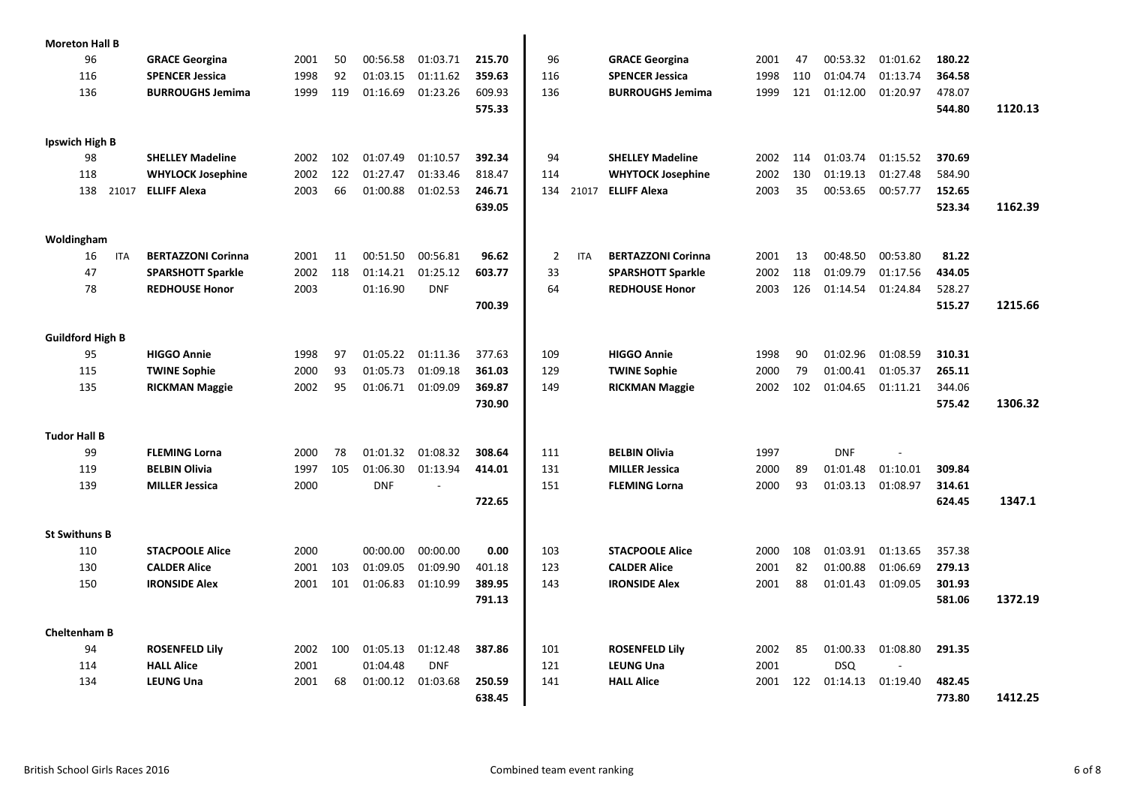| <b>Moreton Hall B</b>   |                           |      |     |            |                          |        |                |            |                           |      |     |            |          |        |         |
|-------------------------|---------------------------|------|-----|------------|--------------------------|--------|----------------|------------|---------------------------|------|-----|------------|----------|--------|---------|
| 96                      | <b>GRACE Georgina</b>     | 2001 | 50  | 00:56.58   | 01:03.71                 | 215.70 | 96             |            | <b>GRACE Georgina</b>     | 2001 | 47  | 00:53.32   | 01:01.62 | 180.22 |         |
| 116                     | <b>SPENCER Jessica</b>    | 1998 | 92  | 01:03.15   | 01:11.62                 | 359.63 | 116            |            | <b>SPENCER Jessica</b>    | 1998 | 110 | 01:04.74   | 01:13.74 | 364.58 |         |
| 136                     | <b>BURROUGHS Jemima</b>   | 1999 | 119 | 01:16.69   | 01:23.26                 | 609.93 | 136            |            | <b>BURROUGHS Jemima</b>   | 1999 | 121 | 01:12.00   | 01:20.97 | 478.07 |         |
|                         |                           |      |     |            |                          | 575.33 |                |            |                           |      |     |            |          | 544.80 | 1120.13 |
|                         |                           |      |     |            |                          |        |                |            |                           |      |     |            |          |        |         |
| Ipswich High B          |                           |      |     |            |                          |        |                |            |                           |      |     |            |          |        |         |
| 98                      | <b>SHELLEY Madeline</b>   | 2002 | 102 | 01:07.49   | 01:10.57                 | 392.34 | 94             |            | <b>SHELLEY Madeline</b>   | 2002 | 114 | 01:03.74   | 01:15.52 | 370.69 |         |
| 118                     | <b>WHYLOCK Josephine</b>  | 2002 | 122 | 01:27.47   | 01:33.46                 | 818.47 | 114            |            | <b>WHYTOCK Josephine</b>  | 2002 | 130 | 01:19.13   | 01:27.48 | 584.90 |         |
| 138<br>21017            | <b>ELLIFF Alexa</b>       | 2003 | 66  | 01:00.88   | 01:02.53                 | 246.71 | 134            | 21017      | <b>ELLIFF Alexa</b>       | 2003 | 35  | 00:53.65   | 00:57.77 | 152.65 |         |
|                         |                           |      |     |            |                          | 639.05 |                |            |                           |      |     |            |          | 523.34 | 1162.39 |
|                         |                           |      |     |            |                          |        |                |            |                           |      |     |            |          |        |         |
| Woldingham              |                           |      |     |            |                          |        |                |            |                           |      |     |            |          |        |         |
| 16<br><b>ITA</b>        | <b>BERTAZZONI Corinna</b> | 2001 | 11  | 00:51.50   | 00:56.81                 | 96.62  | $\overline{2}$ | <b>ITA</b> | <b>BERTAZZONI Corinna</b> | 2001 | 13  | 00:48.50   | 00:53.80 | 81.22  |         |
| 47                      | <b>SPARSHOTT Sparkle</b>  | 2002 | 118 | 01:14.21   | 01:25.12                 | 603.77 | 33             |            | <b>SPARSHOTT Sparkle</b>  | 2002 | 118 | 01:09.79   | 01:17.56 | 434.05 |         |
| 78                      | <b>REDHOUSE Honor</b>     | 2003 |     | 01:16.90   | <b>DNF</b>               |        | 64             |            | <b>REDHOUSE Honor</b>     | 2003 | 126 | 01:14.54   | 01:24.84 | 528.27 |         |
|                         |                           |      |     |            |                          | 700.39 |                |            |                           |      |     |            |          | 515.27 | 1215.66 |
|                         |                           |      |     |            |                          |        |                |            |                           |      |     |            |          |        |         |
| <b>Guildford High B</b> |                           |      |     |            |                          |        |                |            |                           |      |     |            |          |        |         |
| 95                      | <b>HIGGO Annie</b>        | 1998 | 97  | 01:05.22   | 01:11.36                 | 377.63 | 109            |            | <b>HIGGO Annie</b>        | 1998 | 90  | 01:02.96   | 01:08.59 | 310.31 |         |
| 115                     | <b>TWINE Sophie</b>       | 2000 | 93  | 01:05.73   | 01:09.18                 | 361.03 | 129            |            | <b>TWINE Sophie</b>       | 2000 | 79  | 01:00.41   | 01:05.37 | 265.11 |         |
| 135                     | <b>RICKMAN Maggie</b>     | 2002 | 95  | 01:06.71   | 01:09.09                 | 369.87 | 149            |            | <b>RICKMAN Maggie</b>     | 2002 | 102 | 01:04.65   | 01:11.21 | 344.06 |         |
|                         |                           |      |     |            |                          | 730.90 |                |            |                           |      |     |            |          | 575.42 | 1306.32 |
|                         |                           |      |     |            |                          |        |                |            |                           |      |     |            |          |        |         |
| <b>Tudor Hall B</b>     |                           |      |     |            |                          |        |                |            |                           |      |     |            |          |        |         |
| 99                      | <b>FLEMING Lorna</b>      | 2000 | 78  | 01:01.32   | 01:08.32                 | 308.64 | 111            |            | <b>BELBIN Olivia</b>      | 1997 |     | <b>DNF</b> |          |        |         |
| 119                     | <b>BELBIN Olivia</b>      | 1997 | 105 | 01:06.30   | 01:13.94                 | 414.01 | 131            |            | <b>MILLER Jessica</b>     | 2000 | 89  | 01:01.48   | 01:10.01 | 309.84 |         |
| 139                     | <b>MILLER Jessica</b>     | 2000 |     | <b>DNF</b> | $\overline{\phantom{a}}$ |        | 151            |            | <b>FLEMING Lorna</b>      | 2000 | 93  | 01:03.13   | 01:08.97 | 314.61 |         |
|                         |                           |      |     |            |                          | 722.65 |                |            |                           |      |     |            |          | 624.45 | 1347.1  |
| <b>St Swithuns B</b>    |                           |      |     |            |                          |        |                |            |                           |      |     |            |          |        |         |
| 110                     | <b>STACPOOLE Alice</b>    | 2000 |     | 00:00.00   | 00:00.00                 | 0.00   | 103            |            | <b>STACPOOLE Alice</b>    | 2000 | 108 | 01:03.91   | 01:13.65 | 357.38 |         |
| 130                     | <b>CALDER Alice</b>       | 2001 | 103 | 01:09.05   | 01:09.90                 | 401.18 | 123            |            | <b>CALDER Alice</b>       | 2001 | 82  | 01:00.88   | 01:06.69 | 279.13 |         |
| 150                     | <b>IRONSIDE Alex</b>      | 2001 | 101 | 01:06.83   | 01:10.99                 | 389.95 | 143            |            | <b>IRONSIDE Alex</b>      | 2001 | 88  | 01:01.43   | 01:09.05 | 301.93 |         |
|                         |                           |      |     |            |                          | 791.13 |                |            |                           |      |     |            |          | 581.06 | 1372.19 |
|                         |                           |      |     |            |                          |        |                |            |                           |      |     |            |          |        |         |
| <b>Cheltenham B</b>     |                           |      |     |            |                          |        |                |            |                           |      |     |            |          |        |         |
| 94                      | <b>ROSENFELD Lily</b>     | 2002 | 100 | 01:05.13   | 01:12.48                 | 387.86 | 101            |            | <b>ROSENFELD Lily</b>     | 2002 | 85  | 01:00.33   | 01:08.80 | 291.35 |         |
| 114                     | <b>HALL Alice</b>         | 2001 |     | 01:04.48   | <b>DNF</b>               |        | 121            |            | <b>LEUNG Una</b>          | 2001 |     | <b>DSQ</b> |          |        |         |
| 134                     | <b>LEUNG Una</b>          | 2001 | 68  | 01:00.12   | 01:03.68                 | 250.59 | 141            |            | <b>HALL Alice</b>         | 2001 | 122 | 01:14.13   | 01:19.40 | 482.45 |         |
|                         |                           |      |     |            |                          | 638.45 |                |            |                           |      |     |            |          | 773.80 | 1412.25 |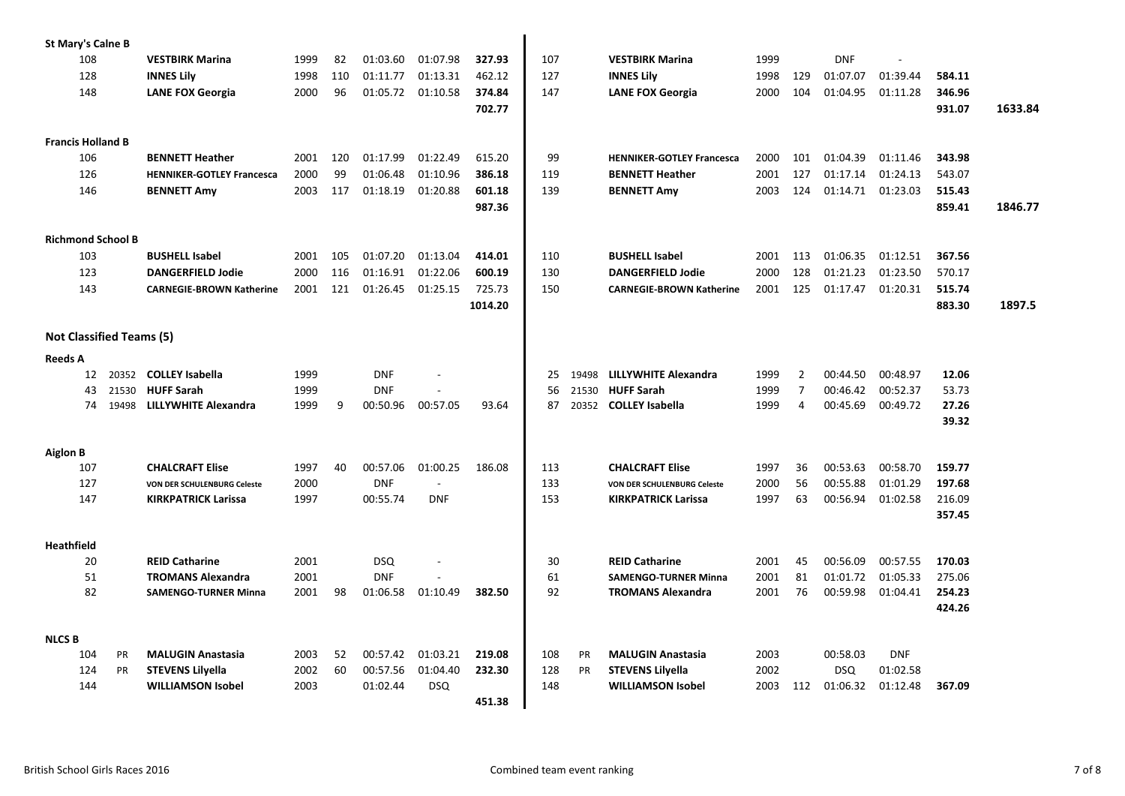| <b>St Mary's Calne B</b>        |                      |                                            |              |     |                          |            |         |          |                |                                           |              |                     |                      |                      |                |         |
|---------------------------------|----------------------|--------------------------------------------|--------------|-----|--------------------------|------------|---------|----------|----------------|-------------------------------------------|--------------|---------------------|----------------------|----------------------|----------------|---------|
| 108                             |                      | <b>VESTBIRK Marina</b>                     | 1999         | 82  | 01:03.60                 | 01:07.98   | 327.93  | 107      |                | <b>VESTBIRK Marina</b>                    | 1999         |                     | <b>DNF</b>           | ÷.                   |                |         |
| 128                             |                      | <b>INNES Lily</b>                          | 1998         | 110 | 01:11.77                 | 01:13.31   | 462.12  | 127      |                | <b>INNES Lily</b>                         | 1998         | 129                 | 01:07.07             | 01:39.44             | 584.11         |         |
| 148                             |                      | <b>LANE FOX Georgia</b>                    | 2000         | 96  | 01:05.72                 | 01:10.58   | 374.84  | 147      |                | <b>LANE FOX Georgia</b>                   | 2000         | 104                 | 01:04.95             | 01:11.28             | 346.96         |         |
|                                 |                      |                                            |              |     |                          |            | 702.77  |          |                |                                           |              |                     |                      |                      | 931.07         | 1633.84 |
| <b>Francis Holland B</b>        |                      |                                            |              |     |                          |            |         |          |                |                                           |              |                     |                      |                      |                |         |
| 106                             |                      | <b>BENNETT Heather</b>                     | 2001         | 120 | 01:17.99                 | 01:22.49   | 615.20  | 99       |                | <b>HENNIKER-GOTLEY Francesca</b>          | 2000         | 101                 | 01:04.39             | 01:11.46             | 343.98         |         |
| 126                             |                      | <b>HENNIKER-GOTLEY Francesca</b>           | 2000         | 99  | 01:06.48                 | 01:10.96   | 386.18  | 119      |                | <b>BENNETT Heather</b>                    | 2001         | 127                 | 01:17.14             | 01:24.13             | 543.07         |         |
| 146                             |                      | <b>BENNETT Amy</b>                         | 2003         | 117 | 01:18.19                 | 01:20.88   | 601.18  | 139      |                | <b>BENNETT Amy</b>                        | 2003         | 124                 | 01:14.71             | 01:23.03             | 515.43         |         |
|                                 |                      |                                            |              |     |                          |            | 987.36  |          |                |                                           |              |                     |                      |                      | 859.41         | 1846.77 |
| <b>Richmond School B</b>        |                      |                                            |              |     |                          |            |         |          |                |                                           |              |                     |                      |                      |                |         |
| 103                             |                      | <b>BUSHELL Isabel</b>                      | 2001         | 105 | 01:07.20                 | 01:13.04   | 414.01  | 110      |                | <b>BUSHELL Isabel</b>                     | 2001         | 113                 | 01:06.35             | 01:12.51             | 367.56         |         |
| 123                             |                      | <b>DANGERFIELD Jodie</b>                   | 2000         | 116 | 01:16.91                 | 01:22.06   | 600.19  | 130      |                | <b>DANGERFIELD Jodie</b>                  | 2000         | 128                 | 01:21.23             | 01:23.50             | 570.17         |         |
| 143                             |                      | <b>CARNEGIE-BROWN Katherine</b>            | 2001         | 121 | 01:26.45                 | 01:25.15   | 725.73  | 150      |                | <b>CARNEGIE-BROWN Katherine</b>           | 2001         | 125                 | 01:17.47             | 01:20.31             | 515.74         |         |
|                                 |                      |                                            |              |     |                          |            | 1014.20 |          |                |                                           |              |                     |                      |                      | 883.30         | 1897.5  |
| <b>Not Classified Teams (5)</b> |                      |                                            |              |     |                          |            |         |          |                |                                           |              |                     |                      |                      |                |         |
|                                 |                      |                                            |              |     |                          |            |         |          |                |                                           |              |                     |                      |                      |                |         |
| <b>Reeds A</b>                  |                      |                                            |              |     |                          |            |         |          |                |                                           |              |                     |                      |                      |                |         |
| 43                              | 12                   | 20352 COLLEY Isabella<br><b>HUFF Sarah</b> | 1999<br>1999 |     | <b>DNF</b><br><b>DNF</b> |            |         | 25<br>56 | 19498<br>21530 | LILLYWHITE Alexandra<br><b>HUFF Sarah</b> | 1999<br>1999 | 2<br>$\overline{7}$ | 00:44.50<br>00:46.42 | 00:48.97<br>00:52.37 | 12.06<br>53.73 |         |
|                                 | 21530<br>74<br>19498 | LILLYWHITE Alexandra                       | 1999         | 9   | 00:50.96                 | 00:57.05   | 93.64   | 87       |                | 20352 COLLEY Isabella                     | 1999         | 4                   | 00:45.69             | 00:49.72             | 27.26          |         |
|                                 |                      |                                            |              |     |                          |            |         |          |                |                                           |              |                     |                      |                      | 39.32          |         |
| <b>Aiglon B</b>                 |                      |                                            |              |     |                          |            |         |          |                |                                           |              |                     |                      |                      |                |         |
| 107                             |                      | <b>CHALCRAFT Elise</b>                     | 1997         | 40  | 00:57.06                 | 01:00.25   | 186.08  | 113      |                | <b>CHALCRAFT Elise</b>                    | 1997         | 36                  | 00:53.63             | 00:58.70             | 159.77         |         |
| 127                             |                      | VON DER SCHULENBURG Celeste                | 2000         |     | <b>DNF</b>               |            |         | 133      |                | <b>VON DER SCHULENBURG Celeste</b>        | 2000         | 56                  | 00:55.88             | 01:01.29             | 197.68         |         |
| 147                             |                      | <b>KIRKPATRICK Larissa</b>                 | 1997         |     | 00:55.74                 | <b>DNF</b> |         | 153      |                | <b>KIRKPATRICK Larissa</b>                | 1997         | 63                  | 00:56.94             | 01:02.58             | 216.09         |         |
|                                 |                      |                                            |              |     |                          |            |         |          |                |                                           |              |                     |                      |                      | 357.45         |         |
| Heathfield                      |                      |                                            |              |     |                          |            |         |          |                |                                           |              |                     |                      |                      |                |         |
|                                 | 20                   | <b>REID Catharine</b>                      | 2001         |     | <b>DSQ</b>               |            |         | 30       |                | <b>REID Catharine</b>                     | 2001         | 45                  | 00:56.09             | 00:57.55             | 170.03         |         |
|                                 | 51                   | <b>TROMANS Alexandra</b>                   | 2001         |     | <b>DNF</b>               |            |         | 61       |                | <b>SAMENGO-TURNER Minna</b>               | 2001         | 81                  | 01:01.72             | 01:05.33             | 275.06         |         |
| 82                              |                      | <b>SAMENGO-TURNER Minna</b>                | 2001         | 98  | 01:06.58                 | 01:10.49   | 382.50  | 92       |                | <b>TROMANS Alexandra</b>                  | 2001         | 76                  | 00:59.98             | 01:04.41             | 254.23         |         |
|                                 |                      |                                            |              |     |                          |            |         |          |                |                                           |              |                     |                      |                      | 424.26         |         |
| <b>NLCS B</b>                   |                      |                                            |              |     |                          |            |         |          |                |                                           |              |                     |                      |                      |                |         |
| 104                             | <b>PR</b>            | <b>MALUGIN Anastasia</b>                   | 2003         | 52  | 00:57.42                 | 01:03.21   | 219.08  | 108      | <b>PR</b>      | <b>MALUGIN Anastasia</b>                  | 2003         |                     | 00:58.03             | <b>DNF</b>           |                |         |
| 124                             | <b>PR</b>            | <b>STEVENS Lilyella</b>                    | 2002         | 60  | 00:57.56                 | 01:04.40   | 232.30  | 128      | PR             | <b>STEVENS Lilyella</b>                   | 2002         |                     | <b>DSQ</b>           | 01:02.58             |                |         |
| 144                             |                      | <b>WILLIAMSON Isobel</b>                   | 2003         |     | 01:02.44                 | <b>DSQ</b> |         | 148      |                | <b>WILLIAMSON Isobel</b>                  | 2003         | 112                 | 01:06.32             | 01:12.48             | 367.09         |         |
|                                 |                      |                                            |              |     |                          |            | 451.38  |          |                |                                           |              |                     |                      |                      |                |         |